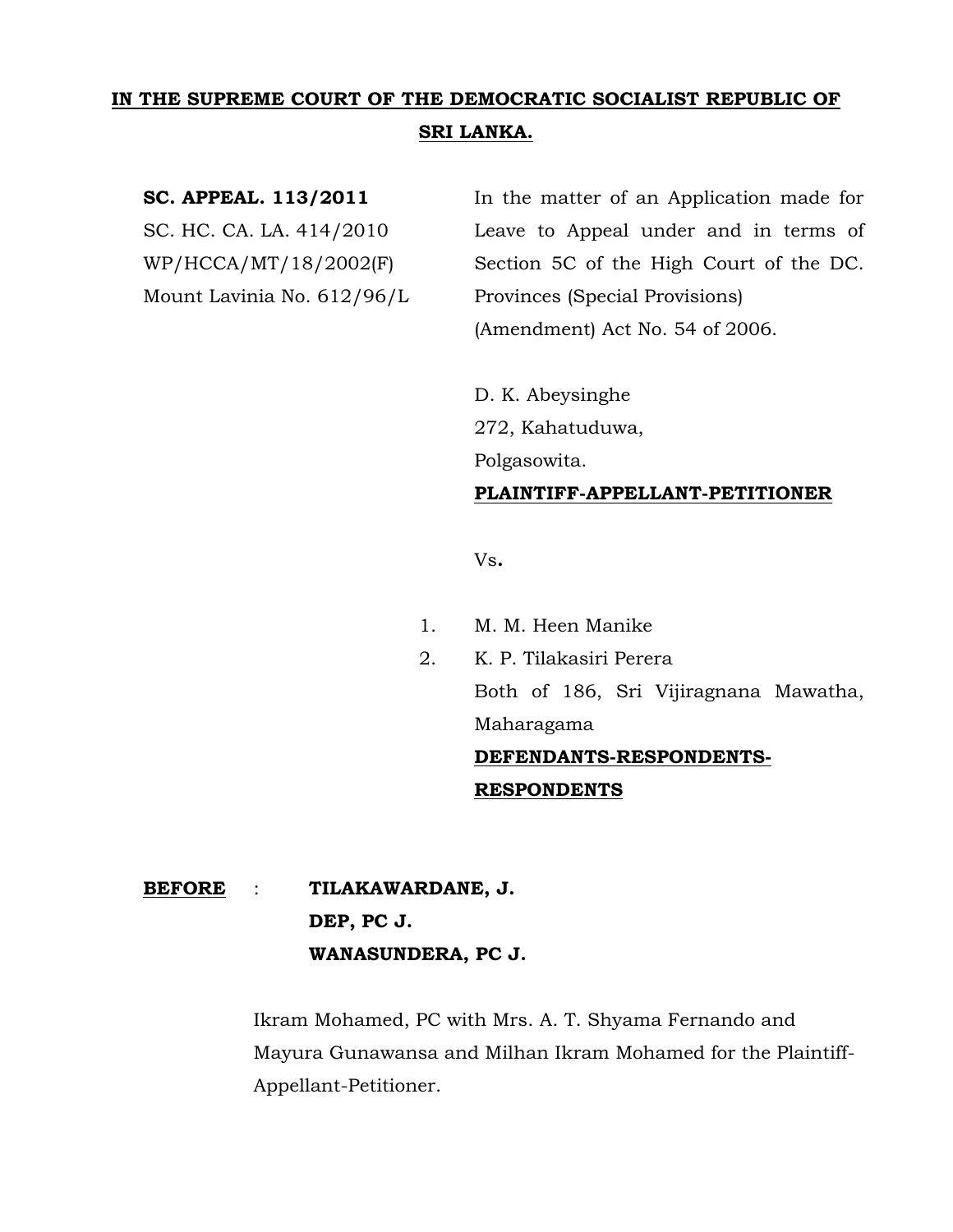# **IN THE SUPREME COURT OF THE DEMOCRATIC SOCIALIST REPUBLIC OF SRI LANKA.**

**SC. APPEAL. 113/2011** In the matter of an Application made for SC. HC. CA. LA. 414/2010 Leave to Appeal under and in terms of WP/HCCA/MT/18/2002(F) Section 5C of the High Court of the DC. Mount Lavinia No. 612/96/L Provinces (Special Provisions) (Amendment) Act No. 54 of 2006.

> D. K. Abeysinghe 272, Kahatuduwa, Polgasowita.

# **PLAINTIFF-APPELLANT-PETITIONER**

Vs**.**

- 1. M. M. Heen Manike
- 2. K. P. Tilakasiri Perera Both of 186, Sri Vijiragnana Mawatha, Maharagama **DEFENDANTS-RESPONDENTS-**

# **RESPONDENTS**

# **BEFORE** : **TILAKAWARDANE, J. DEP, PC J. WANASUNDERA, PC J.**

Ikram Mohamed, PC with Mrs. A. T. Shyama Fernando and Mayura Gunawansa and Milhan Ikram Mohamed for the Plaintiff-Appellant-Petitioner.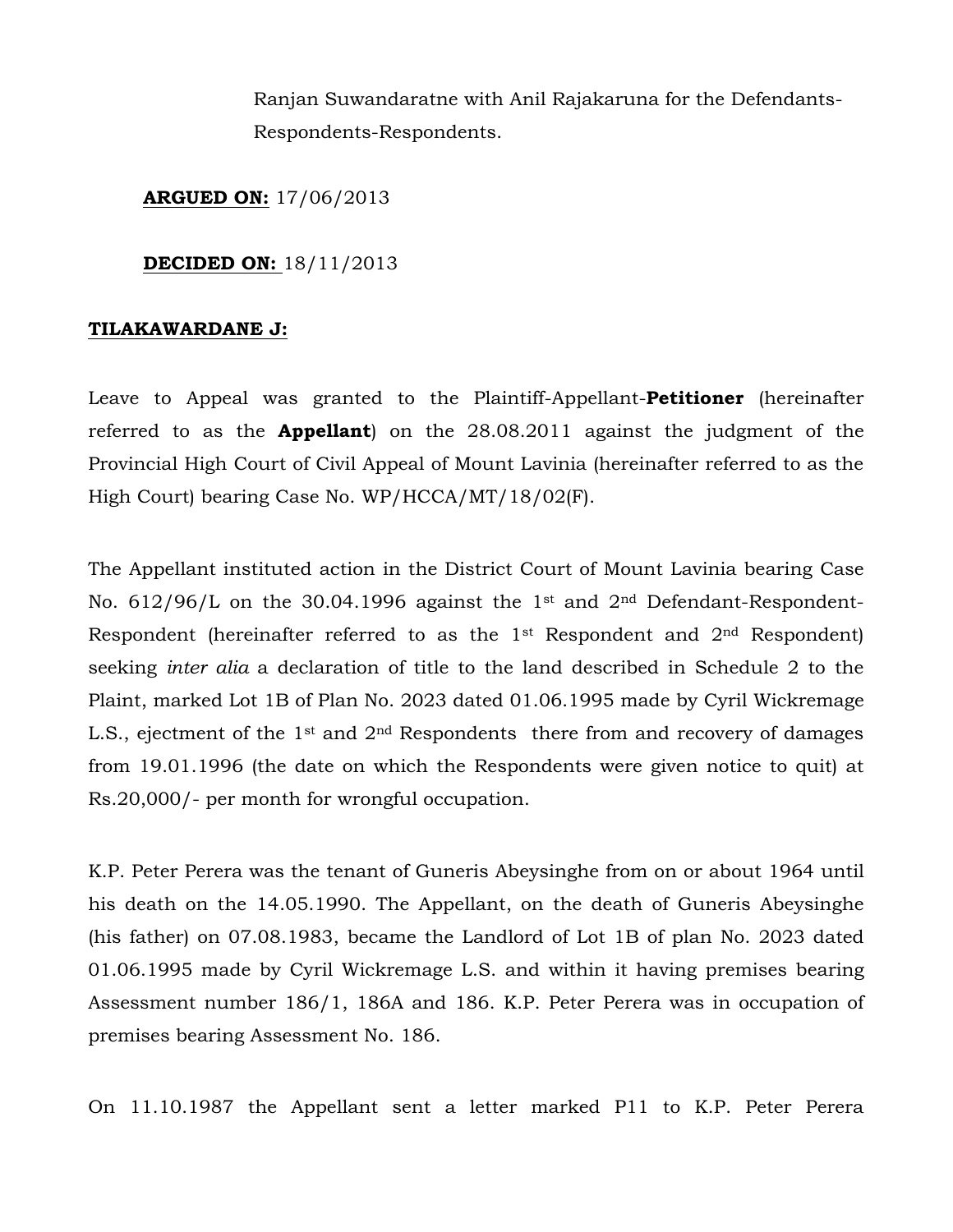Ranjan Suwandaratne with Anil Rajakaruna for the Defendants-Respondents-Respondents.

**ARGUED ON:** 17/06/2013

# **DECIDED ON:** 18/11/2013

# **TILAKAWARDANE J:**

Leave to Appeal was granted to the Plaintiff-Appellant-**Petitioner** (hereinafter referred to as the **Appellant**) on the 28.08.2011 against the judgment of the Provincial High Court of Civil Appeal of Mount Lavinia (hereinafter referred to as the High Court) bearing Case No. WP/HCCA/MT/18/02(F).

The Appellant instituted action in the District Court of Mount Lavinia bearing Case No.  $612/96/L$  on the 30.04.1996 against the 1<sup>st</sup> and  $2<sup>nd</sup>$  Defendant-Respondent-Respondent (hereinafter referred to as the 1st Respondent and 2nd Respondent) seeking *inter alia* a declaration of title to the land described in Schedule 2 to the Plaint, marked Lot 1B of Plan No. 2023 dated 01.06.1995 made by Cyril Wickremage L.S., ejectment of the 1<sup>st</sup> and 2<sup>nd</sup> Respondents there from and recovery of damages from 19.01.1996 (the date on which the Respondents were given notice to quit) at Rs.20,000/- per month for wrongful occupation.

K.P. Peter Perera was the tenant of Guneris Abeysinghe from on or about 1964 until his death on the 14.05.1990. The Appellant, on the death of Guneris Abeysinghe (his father) on 07.08.1983, became the Landlord of Lot 1B of plan No. 2023 dated 01.06.1995 made by Cyril Wickremage L.S. and within it having premises bearing Assessment number 186/1, 186A and 186. K.P. Peter Perera was in occupation of premises bearing Assessment No. 186.

On 11.10.1987 the Appellant sent a letter marked P11 to K.P. Peter Perera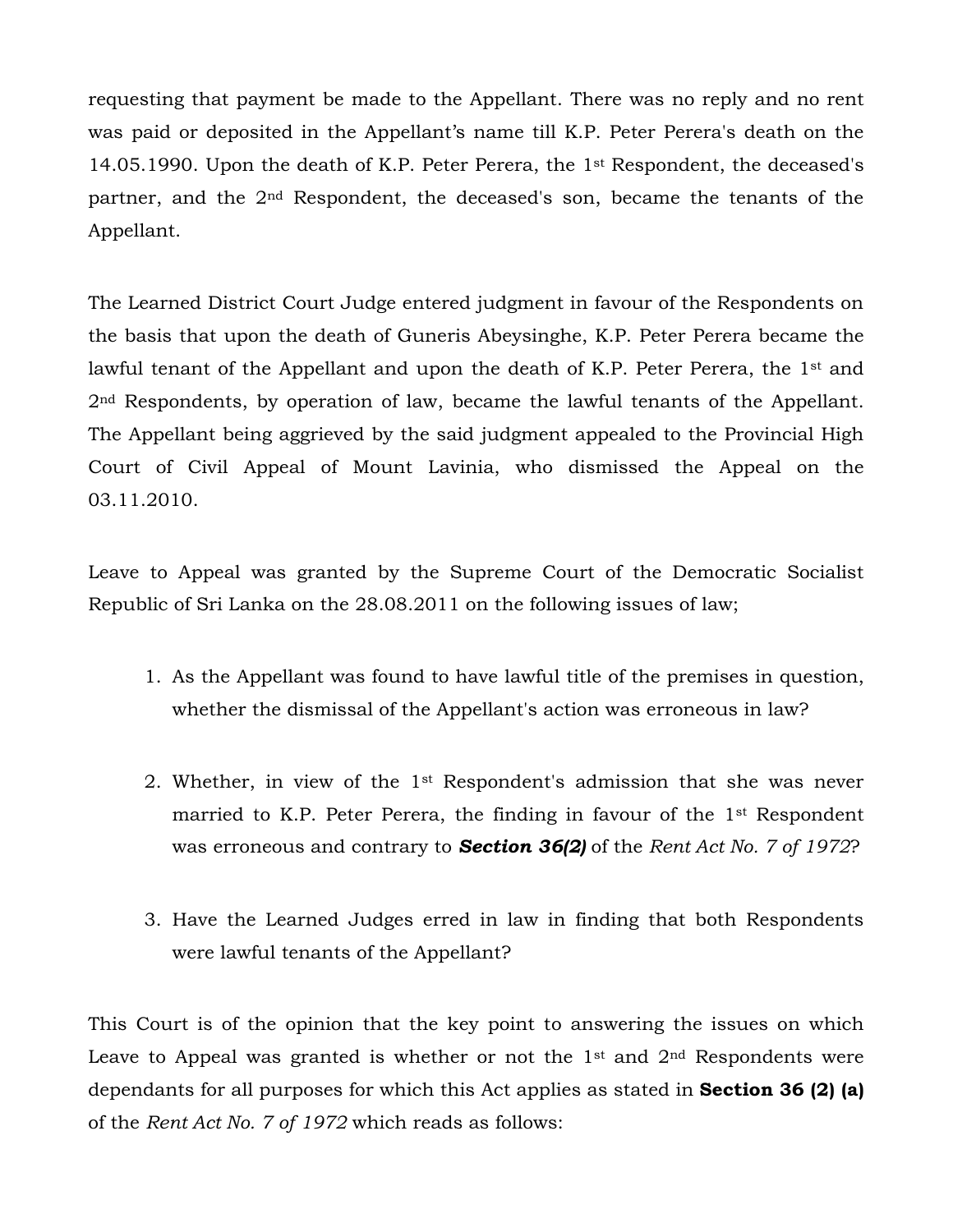requesting that payment be made to the Appellant. There was no reply and no rent was paid or deposited in the Appellant's name till K.P. Peter Perera's death on the 14.05.1990. Upon the death of K.P. Peter Perera, the 1st Respondent, the deceased's partner, and the 2nd Respondent, the deceased's son, became the tenants of the Appellant.

The Learned District Court Judge entered judgment in favour of the Respondents on the basis that upon the death of Guneris Abeysinghe, K.P. Peter Perera became the lawful tenant of the Appellant and upon the death of K.P. Peter Perera, the 1<sup>st</sup> and 2nd Respondents, by operation of law, became the lawful tenants of the Appellant. The Appellant being aggrieved by the said judgment appealed to the Provincial High Court of Civil Appeal of Mount Lavinia, who dismissed the Appeal on the 03.11.2010.

Leave to Appeal was granted by the Supreme Court of the Democratic Socialist Republic of Sri Lanka on the 28.08.2011 on the following issues of law;

- 1. As the Appellant was found to have lawful title of the premises in question, whether the dismissal of the Appellant's action was erroneous in law?
- 2. Whether, in view of the 1st Respondent's admission that she was never married to K.P. Peter Perera, the finding in favour of the 1st Respondent was erroneous and contrary to *Section 36(2)* of the *Rent Act No. 7 of 1972*?
- 3. Have the Learned Judges erred in law in finding that both Respondents were lawful tenants of the Appellant?

This Court is of the opinion that the key point to answering the issues on which Leave to Appeal was granted is whether or not the  $1<sup>st</sup>$  and  $2<sup>nd</sup>$  Respondents were dependants for all purposes for which this Act applies as stated in **Section 36 (2) (a)** of the *Rent Act No. 7 of 1972* which reads as follows: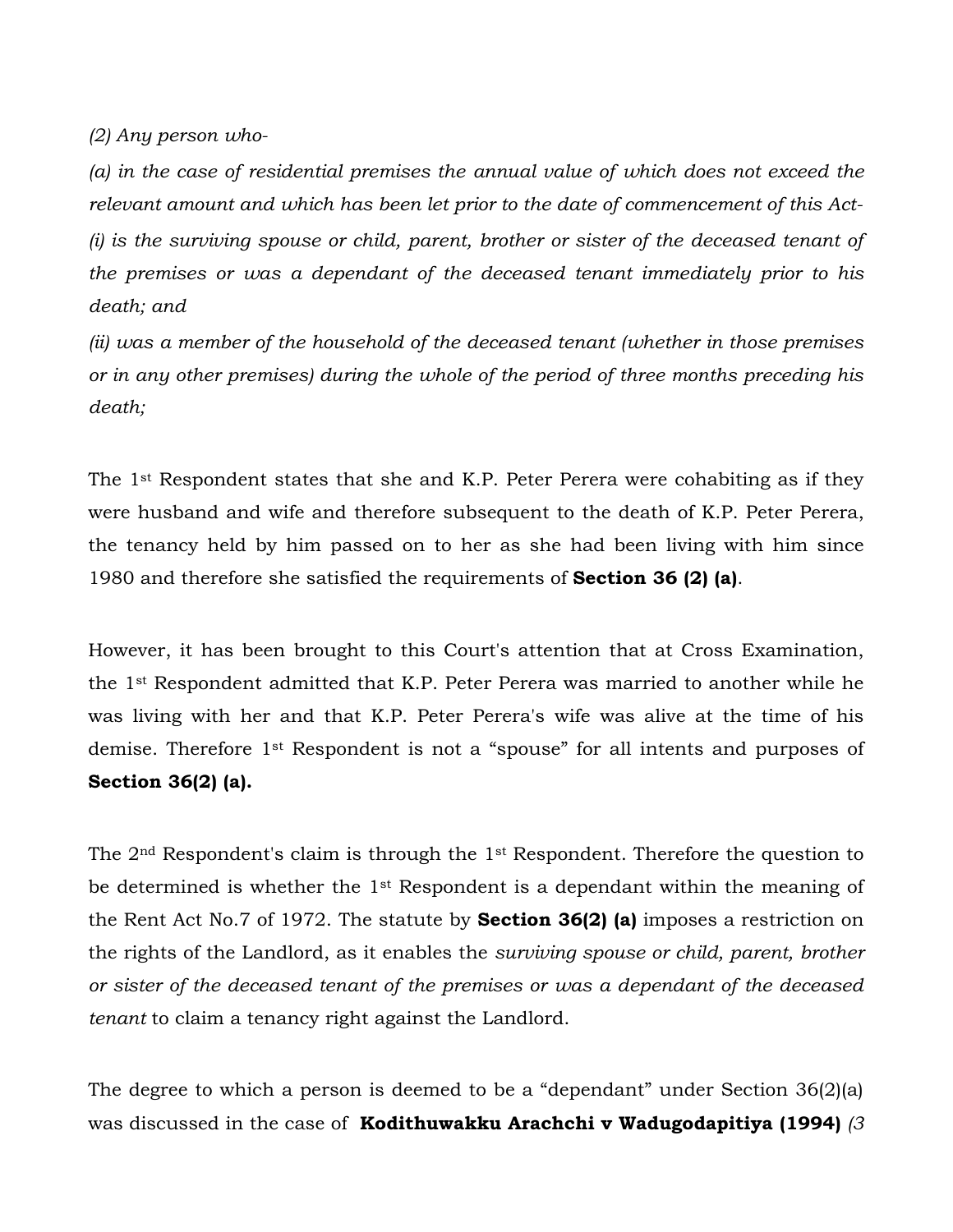*(2) Any person who-*

*(a) in the case of residential premises the annual value of which does not exceed the relevant amount and which has been let prior to the date of commencement of this Act- (i) is the surviving spouse or child, parent, brother or sister of the deceased tenant of the premises or was a dependant of the deceased tenant immediately prior to his death; and*

*(ii) was a member of the household of the deceased tenant (whether in those premises or in any other premises) during the whole of the period of three months preceding his death;* 

The 1<sup>st</sup> Respondent states that she and K.P. Peter Perera were cohabiting as if they were husband and wife and therefore subsequent to the death of K.P. Peter Perera, the tenancy held by him passed on to her as she had been living with him since 1980 and therefore she satisfied the requirements of **Section 36 (2) (a)**.

However, it has been brought to this Court's attention that at Cross Examination, the 1st Respondent admitted that K.P. Peter Perera was married to another while he was living with her and that K.P. Peter Perera's wife was alive at the time of his demise. Therefore 1st Respondent is not a "spouse" for all intents and purposes of **Section 36(2) (a).**

The 2nd Respondent's claim is through the 1st Respondent. Therefore the question to be determined is whether the 1st Respondent is a dependant within the meaning of the Rent Act No.7 of 1972. The statute by **Section 36(2) (a)** imposes a restriction on the rights of the Landlord, as it enables the *surviving spouse or child, parent, brother or sister of the deceased tenant of the premises or was a dependant of the deceased tenant* to claim a tenancy right against the Landlord.

The degree to which a person is deemed to be a "dependant" under Section 36(2)(a) was discussed in the case of **Kodithuwakku Arachchi v Wadugodapitiya (1994)** *(3*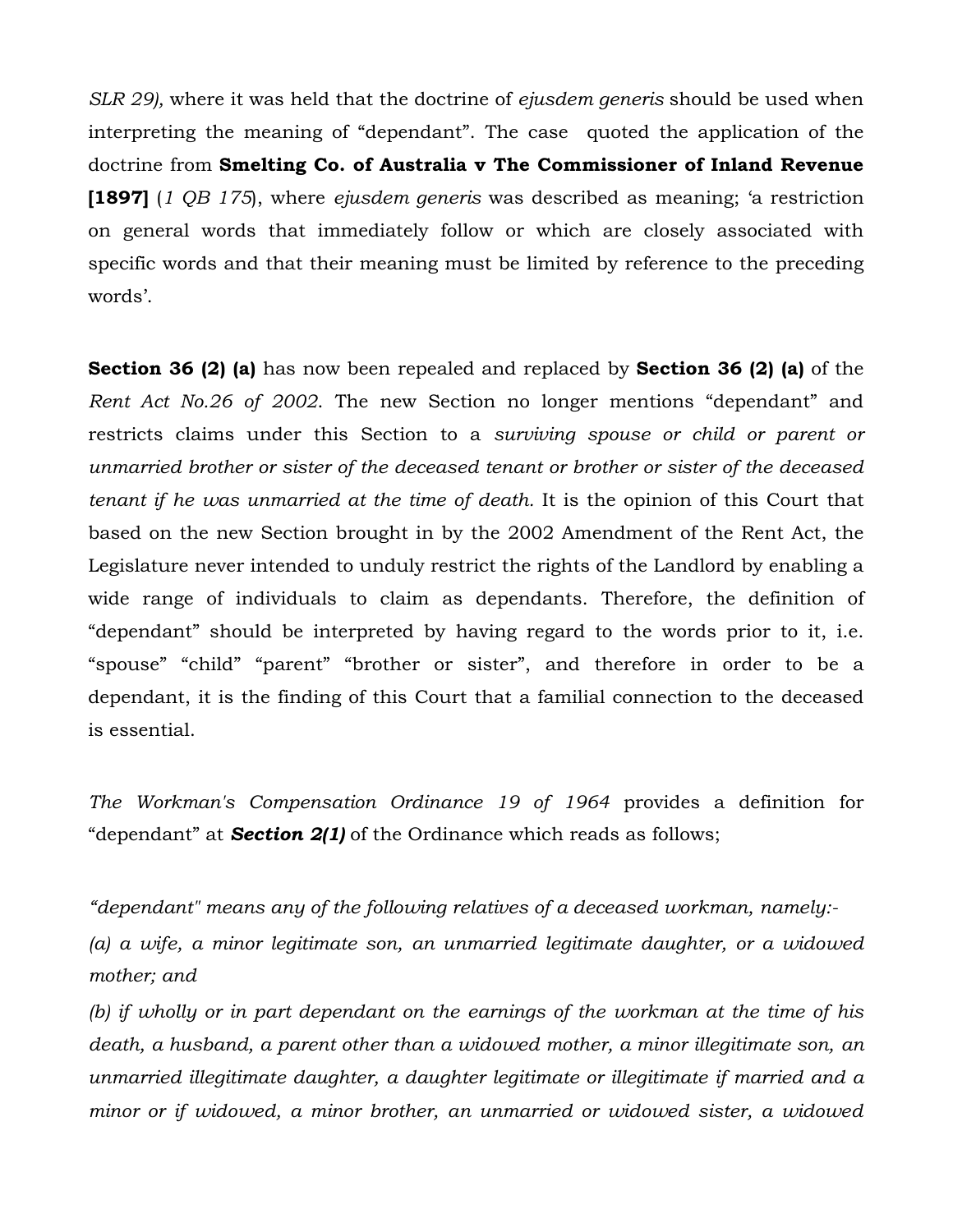*SLR 29),* where it was held that the doctrine of *ejusdem generis* should be used when interpreting the meaning of "dependant". The case quoted the application of the doctrine from **Smelting Co. of Australia v The Commissioner of Inland Revenue [1897]** (*1 QB 175*), where *ejusdem generis* was described as meaning; "a restriction on general words that immediately follow or which are closely associated with specific words and that their meaning must be limited by reference to the preceding words'.

**Section 36 (2) (a)** has now been repealed and replaced by **Section 36 (2) (a)** of the *Rent Act No.26 of 2002*. The new Section no longer mentions "dependant" and restricts claims under this Section to a *surviving spouse or child or parent or unmarried brother or sister of the deceased tenant or brother or sister of the deceased tenant if he was unmarried at the time of death.* It is the opinion of this Court that based on the new Section brought in by the 2002 Amendment of the Rent Act, the Legislature never intended to unduly restrict the rights of the Landlord by enabling a wide range of individuals to claim as dependants. Therefore, the definition of "dependant" should be interpreted by having regard to the words prior to it, i.e. "spouse" "child" "parent" "brother or sister", and therefore in order to be a dependant, it is the finding of this Court that a familial connection to the deceased is essential.

*The Workman's Compensation Ordinance 19 of 1964* provides a definition for "dependant" at *Section 2(1)* of the Ordinance which reads as follows;

"*dependant" means any of the following relatives of a deceased workman, namely:-*

*(a) a wife, a minor legitimate son, an unmarried legitimate daughter, or a widowed mother; and*

*(b) if wholly or in part dependant on the earnings of the workman at the time of his death, a husband, a parent other than a widowed mother, a minor illegitimate son, an unmarried illegitimate daughter, a daughter legitimate or illegitimate if married and a minor or if widowed, a minor brother, an unmarried or widowed sister, a widowed*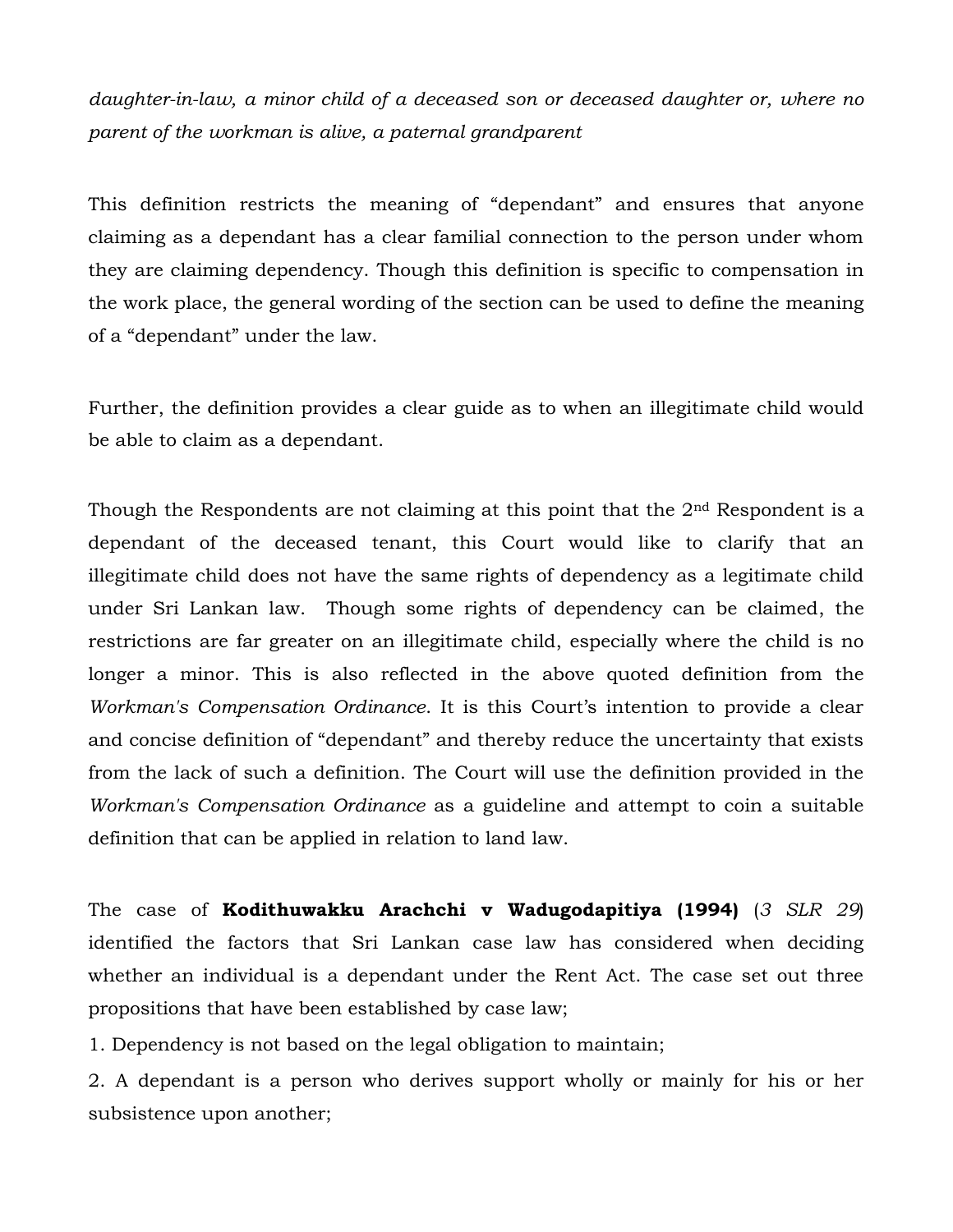*daughter-in-law, a minor child of a deceased son or deceased daughter or, where no parent of the workman is alive, a paternal grandparent*

This definition restricts the meaning of "dependant" and ensures that anyone claiming as a dependant has a clear familial connection to the person under whom they are claiming dependency. Though this definition is specific to compensation in the work place, the general wording of the section can be used to define the meaning of a "dependant" under the law.

Further, the definition provides a clear guide as to when an illegitimate child would be able to claim as a dependant.

Though the Respondents are not claiming at this point that the  $2<sup>nd</sup>$  Respondent is a dependant of the deceased tenant, this Court would like to clarify that an illegitimate child does not have the same rights of dependency as a legitimate child under Sri Lankan law. Though some rights of dependency can be claimed, the restrictions are far greater on an illegitimate child, especially where the child is no longer a minor. This is also reflected in the above quoted definition from the *Workman's Compensation Ordinance*. It is this Court's intention to provide a clear and concise definition of "dependant" and thereby reduce the uncertainty that exists from the lack of such a definition. The Court will use the definition provided in the *Workman's Compensation Ordinance* as a guideline and attempt to coin a suitable definition that can be applied in relation to land law.

The case of **Kodithuwakku Arachchi v Wadugodapitiya (1994)** (*3 SLR 29*) identified the factors that Sri Lankan case law has considered when deciding whether an individual is a dependant under the Rent Act. The case set out three propositions that have been established by case law;

1. Dependency is not based on the legal obligation to maintain;

2. A dependant is a person who derives support wholly or mainly for his or her subsistence upon another;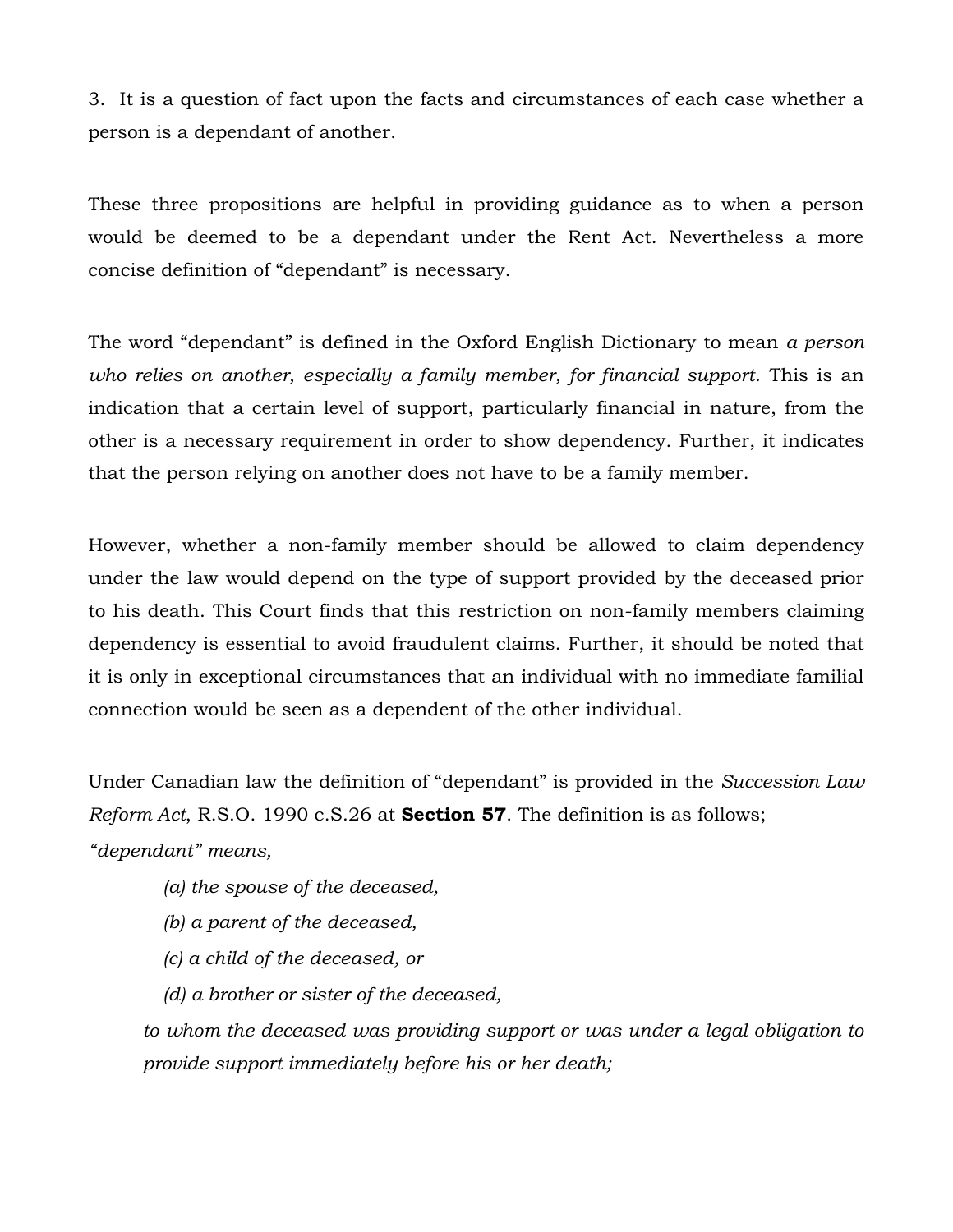3. It is a question of fact upon the facts and circumstances of each case whether a person is a dependant of another.

These three propositions are helpful in providing guidance as to when a person would be deemed to be a dependant under the Rent Act. Nevertheless a more concise definition of "dependant" is necessary.

The word "dependant" is defined in the Oxford English Dictionary to mean *a person who relies on another, especially a family member, for financial support*. This is an indication that a certain level of support, particularly financial in nature, from the other is a necessary requirement in order to show dependency. Further, it indicates that the person relying on another does not have to be a family member.

However, whether a non-family member should be allowed to claim dependency under the law would depend on the type of support provided by the deceased prior to his death. This Court finds that this restriction on non-family members claiming dependency is essential to avoid fraudulent claims. Further, it should be noted that it is only in exceptional circumstances that an individual with no immediate familial connection would be seen as a dependent of the other individual.

Under Canadian law the definition of "dependant" is provided in the *Succession Law Reform Act*, R.S.O. 1990 c.S.26 at **Section 57**. The definition is as follows; *"dependant" means,*

- *(a) the spouse of the deceased,*
- *(b) a parent of the deceased,*
- *(c) a child of the deceased, or*
- *(d) a brother or sister of the deceased,*

*to whom the deceased was providing support or was under a legal obligation to provide support immediately before his or her death;*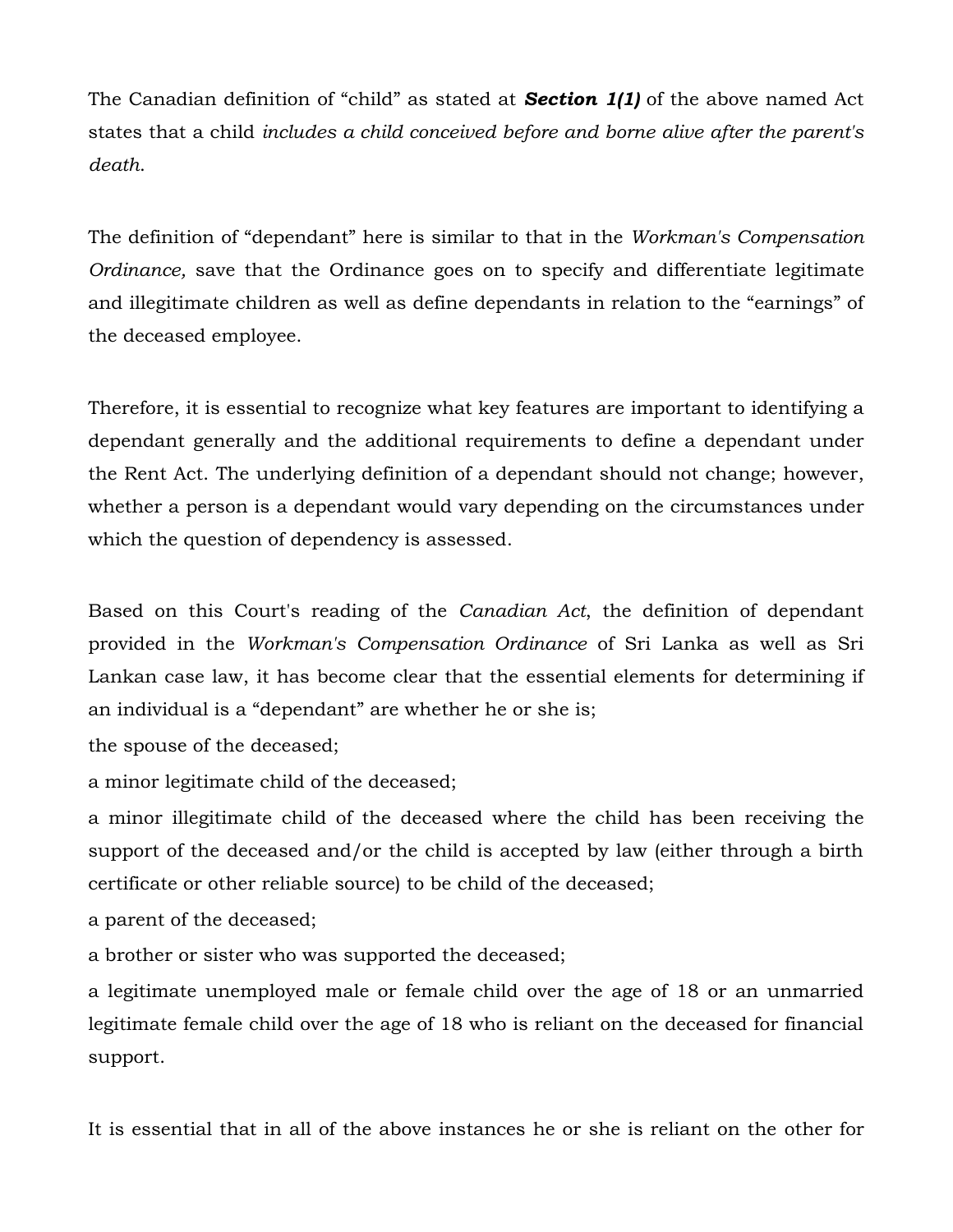The Canadian definition of "child" as stated at *Section 1(1)* of the above named Act states that a child *includes a child conceived before and borne alive after the parent's death*.

The definition of "dependant" here is similar to that in the *Workman's Compensation Ordinance,* save that the Ordinance goes on to specify and differentiate legitimate and illegitimate children as well as define dependants in relation to the "earnings" of the deceased employee.

Therefore, it is essential to recognize what key features are important to identifying a dependant generally and the additional requirements to define a dependant under the Rent Act. The underlying definition of a dependant should not change; however, whether a person is a dependant would vary depending on the circumstances under which the question of dependency is assessed.

Based on this Court's reading of the *Canadian Act*, the definition of dependant provided in the *Workman's Compensation Ordinance* of Sri Lanka as well as Sri Lankan case law, it has become clear that the essential elements for determining if an individual is a "dependant" are whether he or she is;

the spouse of the deceased;

a minor legitimate child of the deceased;

a minor illegitimate child of the deceased where the child has been receiving the support of the deceased and/or the child is accepted by law (either through a birth certificate or other reliable source) to be child of the deceased;

a parent of the deceased;

a brother or sister who was supported the deceased;

a legitimate unemployed male or female child over the age of 18 or an unmarried legitimate female child over the age of 18 who is reliant on the deceased for financial support.

It is essential that in all of the above instances he or she is reliant on the other for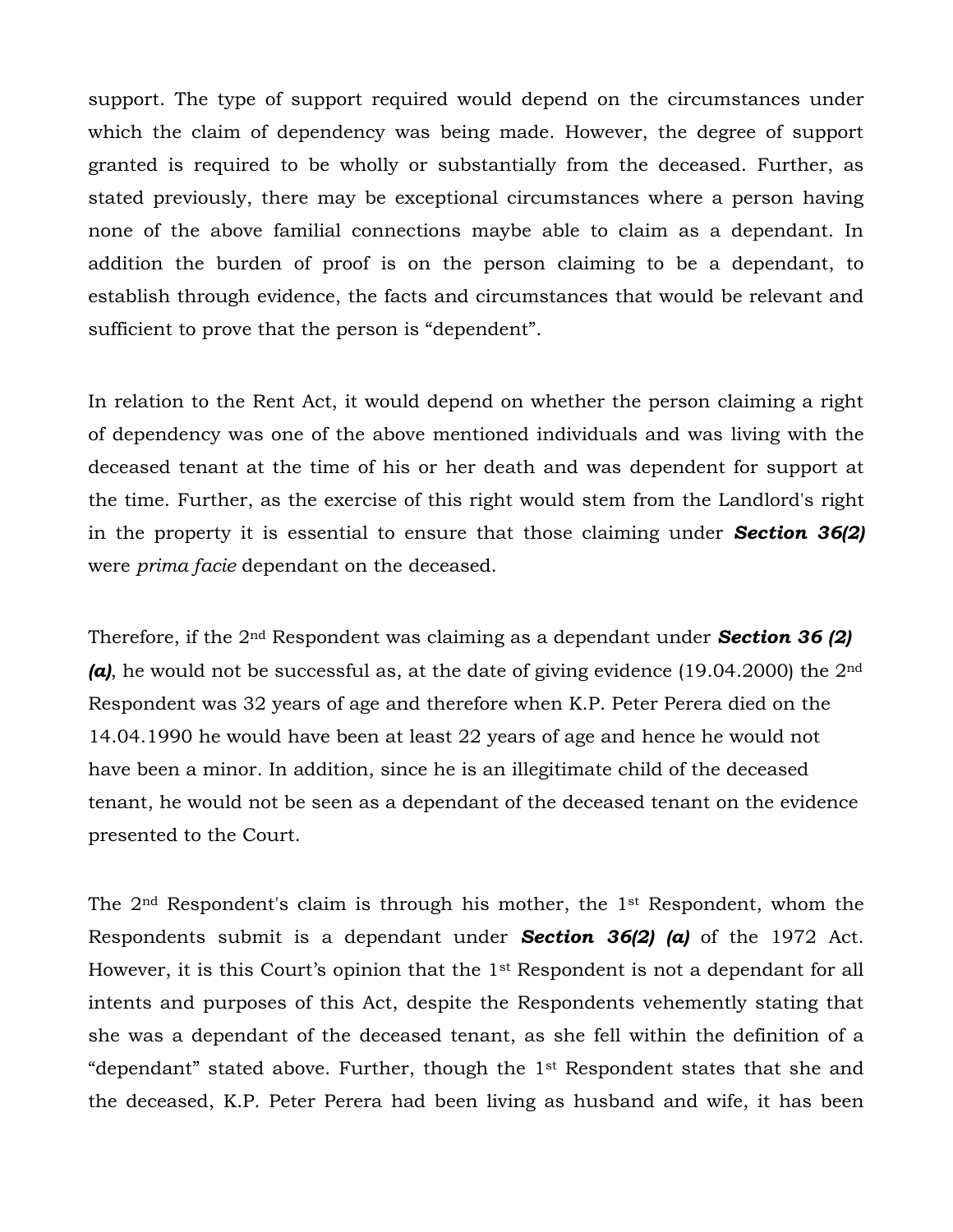support. The type of support required would depend on the circumstances under which the claim of dependency was being made. However, the degree of support granted is required to be wholly or substantially from the deceased. Further, as stated previously, there may be exceptional circumstances where a person having none of the above familial connections maybe able to claim as a dependant. In addition the burden of proof is on the person claiming to be a dependant, to establish through evidence, the facts and circumstances that would be relevant and sufficient to prove that the person is "dependent".

In relation to the Rent Act, it would depend on whether the person claiming a right of dependency was one of the above mentioned individuals and was living with the deceased tenant at the time of his or her death and was dependent for support at the time. Further, as the exercise of this right would stem from the Landlord's right in the property it is essential to ensure that those claiming under *Section 36(2)* were *prima facie* dependant on the deceased.

Therefore, if the 2nd Respondent was claiming as a dependant under *Section 36 (2) (a)*, he would not be successful as, at the date of giving evidence (19.04.2000) the 2nd Respondent was 32 years of age and therefore when K.P. Peter Perera died on the 14.04.1990 he would have been at least 22 years of age and hence he would not have been a minor. In addition, since he is an illegitimate child of the deceased tenant, he would not be seen as a dependant of the deceased tenant on the evidence presented to the Court.

The 2nd Respondent's claim is through his mother, the 1st Respondent, whom the Respondents submit is a dependant under *Section 36(2) (a)* of the 1972 Act. However, it is this Court's opinion that the  $1<sup>st</sup>$  Respondent is not a dependant for all intents and purposes of this Act, despite the Respondents vehemently stating that she was a dependant of the deceased tenant, as she fell within the definition of a "dependant" stated above. Further, though the 1st Respondent states that she and the deceased, K.P. Peter Perera had been living as husband and wife, it has been